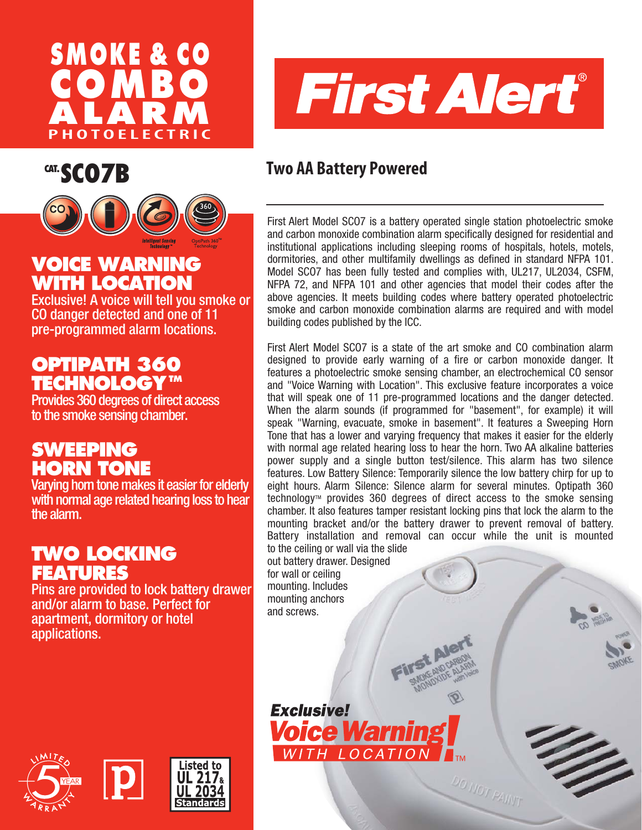



### **VOICE WARNING WITH LOCATION**

Exclusive! A voice will tell you smoke or CO danger detected and one of 11 pre-programmed alarm locations.

## **OPTIPATH 360 TECHNOLOGY** TM

Provides 360 degrees of direct access to the smoke sensing chamber.

### **SWEEPING HORN TONE**

Varying horn tone makes it easier for elderly with normal age related hearing loss to hear the alarm.

### **TWO LOCKING FEATURES**

Pins are provided to lock battery drawer and/or alarm to base. Perfect for apartment, dormitory or hotel applications.



# **CAT. SCO7B Two AA Battery Powered**

First Alert Model SCO7 is a battery operated single station photoelectric smoke and carbon monoxide combination alarm specifically designed for residential and institutional applications including sleeping rooms of hospitals, hotels, motels, dormitories, and other multifamily dwellings as defined in standard NFPA 101. Model SCO7 has been fully tested and complies with, UL217, UL2034, CSFM, NFPA 72, and NFPA 101 and other agencies that model their codes after the above agencies. It meets building codes where battery operated photoelectric smoke and carbon monoxide combination alarms are required and with model building codes published by the ICC.

First Alert Model SCO7 is a state of the art smoke and CO combination alarm designed to provide early warning of a fire or carbon monoxide danger. It features a photoelectric smoke sensing chamber, an electrochemical CO sensor and "Voice Warning with Location". This exclusive feature incorporates a voice that will speak one of 11 pre-programmed locations and the danger detected. When the alarm sounds (if programmed for "basement", for example) it will speak "Warning, evacuate, smoke in basement". It features a Sweeping Horn Tone that has a lower and varying frequency that makes it easier for the elderly with normal age related hearing loss to hear the horn. Two AA alkaline batteries power supply and a single button test/silence. This alarm has two silence features. Low Battery Silence: Temporarily silence the low battery chirp for up to eight hours. Alarm Silence: Silence alarm for several minutes. Optipath 360  $technology^m$  provides 360 degrees of direct access to the smoke sensing chamber. It also features tamper resistant locking pins that lock the alarm to the mounting bracket and/or the battery drawer to prevent removal of battery. Battery installation and removal can occur while the unit is mounted to the ceiling or wall via the slide

 $\tilde{z}$ 

DO NOT PAINT

out battery drawer. Designed for wall or ceiling mounting. Includes mounting anchors and screws.

**Exclusive!** 

*Voice Warnin* 

WITH LOCATION